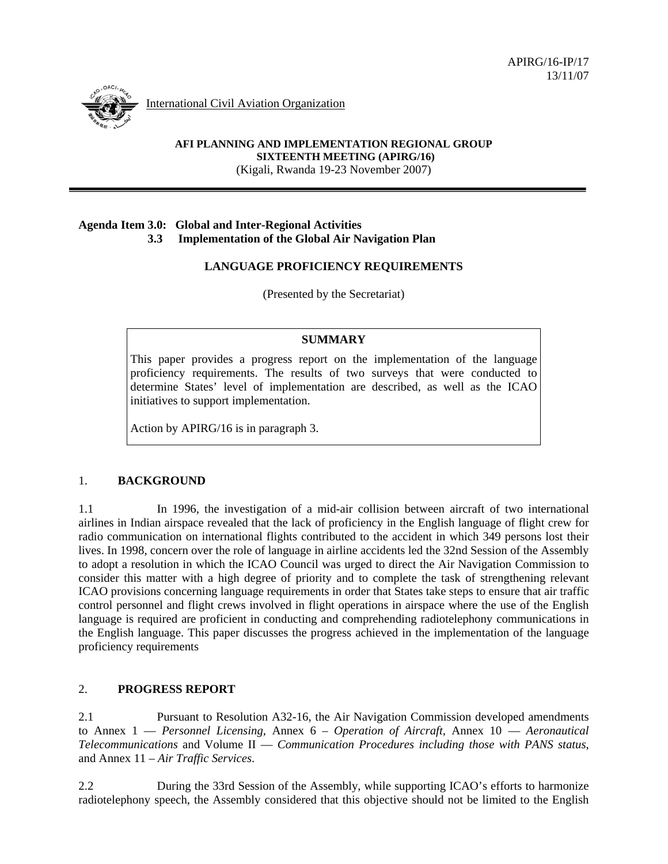International Civil Aviation Organization

**AFI PLANNING AND IMPLEMENTATION REGIONAL GROUP SIXTEENTH MEETING (APIRG/16)**  (Kigali, Rwanda 19-23 November 2007)

### **Agenda Item 3.0: Global and Inter-Regional Activities 3.3 Implementation of the Global Air Navigation Plan**

# **LANGUAGE PROFICIENCY REQUIREMENTS**

(Presented by the Secretariat)

### **SUMMARY**

This paper provides a progress report on the implementation of the language proficiency requirements. The results of two surveys that were conducted to determine States' level of implementation are described, as well as the ICAO initiatives to support implementation.

Action by APIRG/16 is in paragraph 3.

### 1. **BACKGROUND**

1.1 In 1996, the investigation of a mid-air collision between aircraft of two international airlines in Indian airspace revealed that the lack of proficiency in the English language of flight crew for radio communication on international flights contributed to the accident in which 349 persons lost their lives. In 1998, concern over the role of language in airline accidents led the 32nd Session of the Assembly to adopt a resolution in which the ICAO Council was urged to direct the Air Navigation Commission to consider this matter with a high degree of priority and to complete the task of strengthening relevant ICAO provisions concerning language requirements in order that States take steps to ensure that air traffic control personnel and flight crews involved in flight operations in airspace where the use of the English language is required are proficient in conducting and comprehending radiotelephony communications in the English language. This paper discusses the progress achieved in the implementation of the language proficiency requirements

# 2. **PROGRESS REPORT**

2.1 Pursuant to Resolution A32-16, the Air Navigation Commission developed amendments to Annex 1 — *Personnel Licensing*, Annex 6 – *Operation of Aircraft,* Annex 10 — *Aeronautical Telecommunications* and Volume II — *Communication Procedures including those with PANS status*, and Annex 11 – *Air Traffic Services*.

2.2 During the 33rd Session of the Assembly, while supporting ICAO's efforts to harmonize radiotelephony speech, the Assembly considered that this objective should not be limited to the English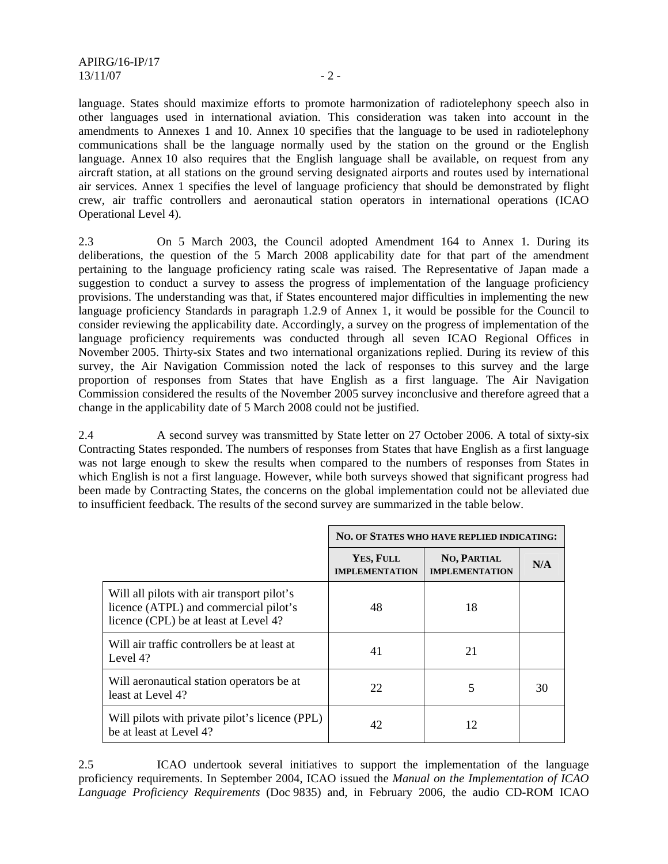language. States should maximize efforts to promote harmonization of radiotelephony speech also in other languages used in international aviation. This consideration was taken into account in the amendments to Annexes 1 and 10. Annex 10 specifies that the language to be used in radiotelephony communications shall be the language normally used by the station on the ground or the English language. Annex 10 also requires that the English language shall be available, on request from any aircraft station, at all stations on the ground serving designated airports and routes used by international air services. Annex 1 specifies the level of language proficiency that should be demonstrated by flight crew, air traffic controllers and aeronautical station operators in international operations (ICAO Operational Level 4).

2.3 On 5 March 2003, the Council adopted Amendment 164 to Annex 1*.* During its deliberations, the question of the 5 March 2008 applicability date for that part of the amendment pertaining to the language proficiency rating scale was raised. The Representative of Japan made a suggestion to conduct a survey to assess the progress of implementation of the language proficiency provisions. The understanding was that, if States encountered major difficulties in implementing the new language proficiency Standards in paragraph 1.2.9 of Annex 1, it would be possible for the Council to consider reviewing the applicability date. Accordingly, a survey on the progress of implementation of the language proficiency requirements was conducted through all seven ICAO Regional Offices in November 2005. Thirty-six States and two international organizations replied. During its review of this survey, the Air Navigation Commission noted the lack of responses to this survey and the large proportion of responses from States that have English as a first language. The Air Navigation Commission considered the results of the November 2005 survey inconclusive and therefore agreed that a change in the applicability date of 5 March 2008 could not be justified.

2.4 A second survey was transmitted by State letter on 27 October 2006. A total of sixty-six Contracting States responded. The numbers of responses from States that have English as a first language was not large enough to skew the results when compared to the numbers of responses from States in which English is not a first language. However, while both surveys showed that significant progress had been made by Contracting States, the concerns on the global implementation could not be alleviated due to insufficient feedback. The results of the second survey are summarized in the table below.

|                                                                                                                              | NO. OF STATES WHO HAVE REPLIED INDICATING: |                                             |     |
|------------------------------------------------------------------------------------------------------------------------------|--------------------------------------------|---------------------------------------------|-----|
|                                                                                                                              | YES, FULL<br><b>IMPLEMENTATION</b>         | <b>NO, PARTIAL</b><br><b>IMPLEMENTATION</b> | N/A |
| Will all pilots with air transport pilot's<br>licence (ATPL) and commercial pilot's<br>licence (CPL) be at least at Level 4? | 48                                         | 18                                          |     |
| Will air traffic controllers be at least at<br>Level 4?                                                                      | 41                                         | 21                                          |     |
| Will aeronautical station operators be at<br>least at Level 4?                                                               | 22                                         | 5                                           | 30  |
| Will pilots with private pilot's licence (PPL)<br>be at least at Level 4?                                                    | 42                                         | 12                                          |     |

2.5 ICAO undertook several initiatives to support the implementation of the language proficiency requirements. In September 2004, ICAO issued the *Manual on the Implementation of ICAO Language Proficiency Requirements* (Doc 9835) and, in February 2006, the audio CD-ROM ICAO